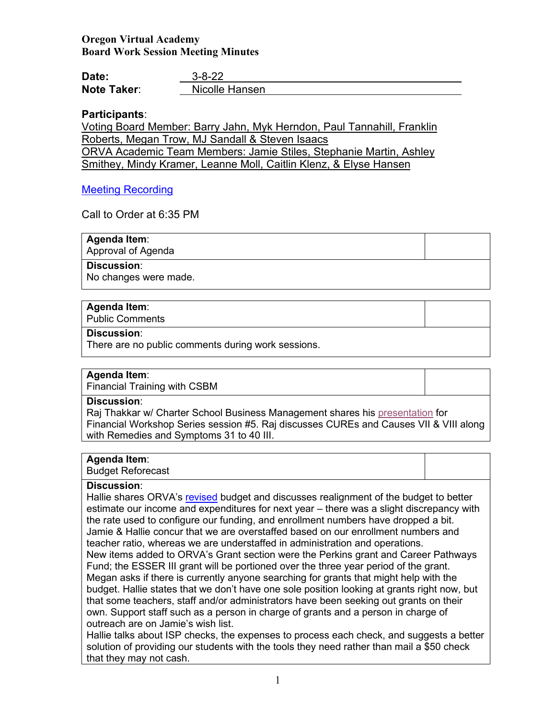# **Oregon Virtual Academy Board Work Session Meeting Minutes**

| Date:              | $3 - 8 - 22$   |
|--------------------|----------------|
| <b>Note Taker:</b> | Nicolle Hansen |

# **Participants**:

Voting Board Member: Barry Jahn, Myk Herndon, Paul Tannahill, Franklin Roberts, Megan Trow, MJ Sandall & Steven Isaacs ORVA Academic Team Members: Jamie Stiles, Stephanie Martin, Ashley Smithey, Mindy Kramer, Leanne Moll, Caitlin Klenz, & Elyse Hansen

## [Meeting Recording](https://us02web.zoom.us/rec/play/r4JohEp0K7EJ86nD6cnusbJ_r0ydf9GYZB1WvyyKM3B7RVGvv5nCT23jJwqT0YmS9yC8CP4O2bAWx_yO.ddKGJlr9XCRw92Xo)

Call to Order at 6:35 PM

**Agenda Item**: Approval of Agenda

**Discussion**:

No changes were made.

## **Agenda Item**:

Public Comments

#### **Discussion**:

There are no public comments during work sessions.

## **Agenda Item**:

Financial Training with CSBM

#### **Discussion**:

Raj Thakkar w/ Charter School Business Management shares his [presentation](https://k12inc-my.sharepoint.com/:b:/g/personal/nhansen_oregonva_org/EeDyxCk6UxdFkh4fhS_F74kBVOYI0l-ThwhqZDVLT37WDw?e=5J7pS9) for Financial Workshop Series session #5. Raj discusses CUREs and Causes VII & VIII along with Remedies and Symptoms 31 to 40 III.

# **Agenda Item**:

Budget Reforecast

#### **Discussion**:

Hallie shares ORVA's [revised](https://k12inc-my.sharepoint.com/:x:/g/personal/nhansen_oregonva_org/EXJLYYJ5xPlHnFAjZgFM828BAbgx2RqGUqNQGAxygdTATQ?e=swJdBb) budget and discusses realignment of the budget to better estimate our income and expenditures for next year – there was a slight discrepancy with the rate used to configure our funding, and enrollment numbers have dropped a bit. Jamie & Hallie concur that we are overstaffed based on our enrollment numbers and teacher ratio, whereas we are understaffed in administration and operations.

New items added to ORVA's Grant section were the Perkins grant and Career Pathways Fund; the ESSER III grant will be portioned over the three year period of the grant. Megan asks if there is currently anyone searching for grants that might help with the budget. Hallie states that we don't have one sole position looking at grants right now, but that some teachers, staff and/or administrators have been seeking out grants on their own. Support staff such as a person in charge of grants and a person in charge of outreach are on Jamie's wish list.

Hallie talks about ISP checks, the expenses to process each check, and suggests a better solution of providing our students with the tools they need rather than mail a \$50 check that they may not cash.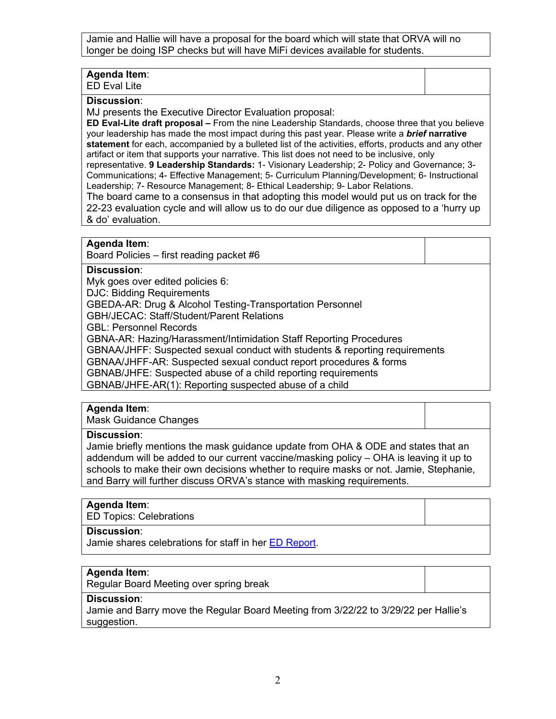Jamie and Hallie will have a proposal for the board which will state that ORVA will no longer be doing ISP checks but will have MiFi devices available for students.

# **Agenda Item**:

ED Eval Lite

#### **Discussion**:

MJ presents the Executive Director Evaluation proposal:

**ED Eval-Lite draft proposal –** From the nine Leadership Standards, choose three that you believe your leadership has made the most impact during this past year. Please write a *brief* **narrative statement** for each, accompanied by a bulleted list of the activities, efforts, products and any other artifact or item that supports your narrative. This list does not need to be inclusive, only representative. **9 Leadership Standards:** 1- Visionary Leadership; 2- Policy and Governance; 3-

Communications; 4- Effective Management; 5- Curriculum Planning/Development; 6- Instructional Leadership; 7- Resource Management; 8- Ethical Leadership; 9- Labor Relations.

The board came to a consensus in that adopting this model would put us on track for the 22-23 evaluation cycle and will allow us to do our due diligence as opposed to a 'hurry up & do' evaluation.

### **Agenda Item**:

Board Policies – first reading packet #6

### **Discussion**:

Myk goes over edited policies 6: DJC: Bidding Requirements

GBEDA-AR: Drug & Alcohol Testing-Transportation Personnel

GBH/JECAC: Staff/Student/Parent Relations

GBL: Personnel Records

GBNA-AR: Hazing/Harassment/Intimidation Staff Reporting Procedures

GBNAA/JHFF: Suspected sexual conduct with students & reporting requirements

GBNAA/JHFF-AR: Suspected sexual conduct report procedures & forms

GBNAB/JHFE: Suspected abuse of a child reporting requirements

GBNAB/JHFE-AR(1): Reporting suspected abuse of a child

#### **Agenda Item**:

Mask Guidance Changes

#### **Discussion**:

Jamie briefly mentions the mask guidance update from OHA & ODE and states that an addendum will be added to our current vaccine/masking policy – OHA is leaving it up to schools to make their own decisions whether to require masks or not. Jamie, Stephanie, and Barry will further discuss ORVA's stance with masking requirements.

# **Agenda Item**:

ED Topics: Celebrations

## **Discussion**:

Jamie shares celebrations for staff in her [ED Report.](https://k12inc-my.sharepoint.com/:p:/g/personal/nhansen_oregonva_org/EauvCe0Sl9ZAinLxVCS5dHMBpcrxmuZTYDsYAgV1kGQB1A?e=14noQP)

#### **Agenda Item**:

Regular Board Meeting over spring break

### **Discussion**:

Jamie and Barry move the Regular Board Meeting from 3/22/22 to 3/29/22 per Hallie's suggestion.